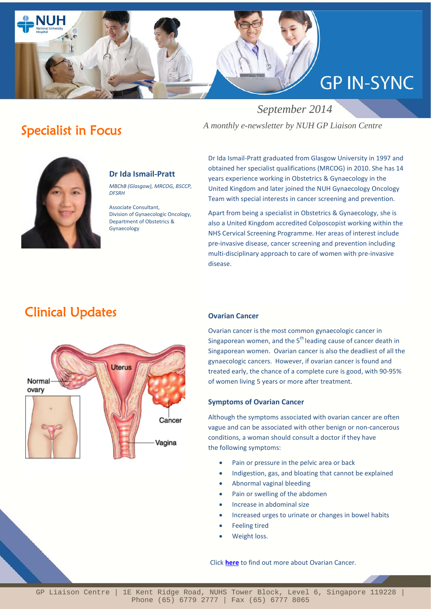

# Specialist in Focus

 *September 2014 A monthly e-newsletter by NUH GP Liaison Centre*



### **Dr Ida Ismail-Pratt**

*MBChB (Glasgow), MRCOG, BSCCP, DFSRH*

Associate Consultant, Division of Gynaecologic Oncology, Department of Obstetrics & Gynaecology

Dr Ida Ismail-Pratt graduated from Glasgow University in 1997 and obtained her specialist qualifications (MRCOG) in 2010. She has 14 years experience working in Obstetrics & Gynaecology in the United Kingdom and later joined the NUH Gynaecology Oncology Team with special interests in cancer screening and prevention.

Apart from being a specialist in Obstetrics & Gynaecology, she is also a United Kingdom accredited Colposcopist working within the NHS Cervical Screening Programme. Her areas of interest include pre-invasive disease, cancer screening and prevention including multi-disciplinary approach to care of women with pre-invasive disease.

# Clinical Updates



#### **Ovarian Cancer**

Ovarian cancer is the most common gynaecologic cancer in Singaporean women, and the 5<sup>th</sup> leading cause of cancer death in Singaporean women. Ovarian cancer is also the deadliest of all the gynaecologic cancers. However, if ovarian cancer is found and treated early, the chance of a complete cure is good, with 90-95% of women living 5 years or more after treatment.

#### **Symptoms of Ovarian Cancer**

Although the symptoms associated with ovarian cancer are often vague and can be associated with other benign or non-cancerous conditions, a woman should consult a doctor if they have the following symptoms:

- Pain or pressure in the pelvic area or back
- Indigestion, gas, and bloating that cannot be explained
- Abnormal vaginal bleeding
- Pain or swelling of the abdomen
- Increase in abdominal size
- Increased urges to urinate or changes in bowel habits
- Feeling tired
- Weight loss.

Click **[here](http://www.nuhgynae.com.sg/cos/o.x?c=/wbn/pagetree&func=view&rid=1054931)** to find out more about Ovarian Cancer.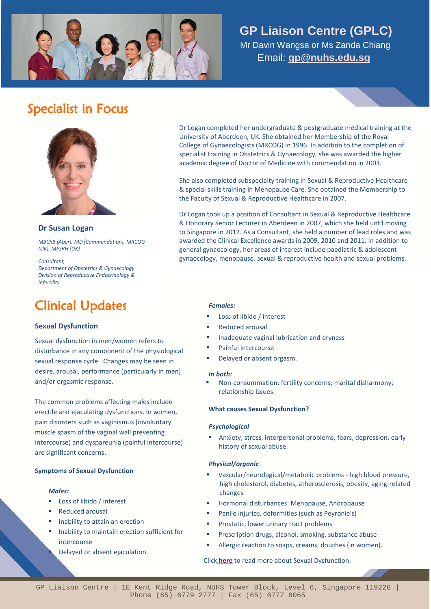

### **GP Liaison Centre (GPLC)**

 Mr Davin Wangsa or Ms Zanda Chiang Email: **[gp@nuhs.edu.sg](mailto:gp@nuhs.edu.sg)**

# Specialist in Focus



#### **Dr Susan Logan**

*MBChB (Aber), MD (Commendation), MRCOG (UK), MFSRH (UK)*

*Consultant, Department of Obstetrics & Gynaecology Division of Reproductive Endocrinology & Infertility*

## Clinical Updates

#### **Sexual Dysfunction**

Sexual dysfunction in men/women refers to disturbance in any component of the physiological sexual response cycle. Changes may be seen in desire, arousal, performance (particularly in men) and/or orgasmic response.

The common problems affecting males include erectile and ejaculating dysfunctions. In women, pain disorders such as vaginismus (involuntary muscle spasm of the vaginal wall preventing intercourse) and dyspareunia (painful intercourse) are significant concerns.

#### **Symptoms of Sexual Dysfunction**

#### *Males:*

- Loss of libido / interest
- Reduced arousal
- Inability to attain an erection
- Inability to maintain erection sufficient for intercourse

Delayed or absent ejaculation.

Dr Logan completed her undergraduate & postgraduate medical training at the University of Aberdeen, UK. She obtained her Membership of the Royal College of Gynaecologists (MRCOG) in 1996. In addition to the completion of specialist training in Obstetrics & Gynaecology, she was awarded the higher academic degree of Doctor of Medicine with commendation in 2003.

She also completed subspecialty training in Sexual & Reproductive Healthcare & special skills training in Menopause Care. She obtained the Membership to the Faculty of Sexual & Reproductive Healthcare in 2007.

Dr Logan took up a position of Consultant in Sexual & Reproductive Healthcare & Honorary Senior Lecturer in Aberdeen in 2007, which she held until moving to Singapore in 2012. As a Consultant, she held a number of lead roles and was awarded the Clinical Excellence awards in 2009, 2010 and 2011. In addition to general gynaecology, her areas of interest include paediatric & adolescent gynaecology, menopause, sexual & reproductive health and sexual problems.

#### *Females:*

- Loss of libido / interest
- Reduced arousal
- Inadequate vaginal lubrication and dryness
- Painful intercourse
- Delayed or absent orgasm.

#### *In both:*

 Non-consummation; fertility concerns; marital disharmony; relationship issues.

#### **What causes Sexual Dysfunction?**

#### *Psychological*

 Anxiety, stress, interpersonal problems, fears, depression, early history of sexual abuse.

#### *Physical/organic*

- Vascular/neurological/metabolic problems high blood pressure, high cholesterol, diabetes, atherosclerosis, obesity, aging-related changes
- Hormonal disturbances: Menopause, Andropause
- **Penile injuries, deformities (such as Peyronie's)**
- Prostatic, lower urinary tract problems
- Prescription drugs, alcohol, smoking, substance abuse
- Allergic reaction to soaps, creams, douches (in women).

#### Click **[here](http://www.nuhgynae.com.sg/cos/o.x?c=/wbn/pagetree&func=view&rid=1054997)** t[o read](http://www.nuhcs.com.sg/wbn/slot/u3192/Brochures/TAVI.pdf) more about Sexual Dysfunction.